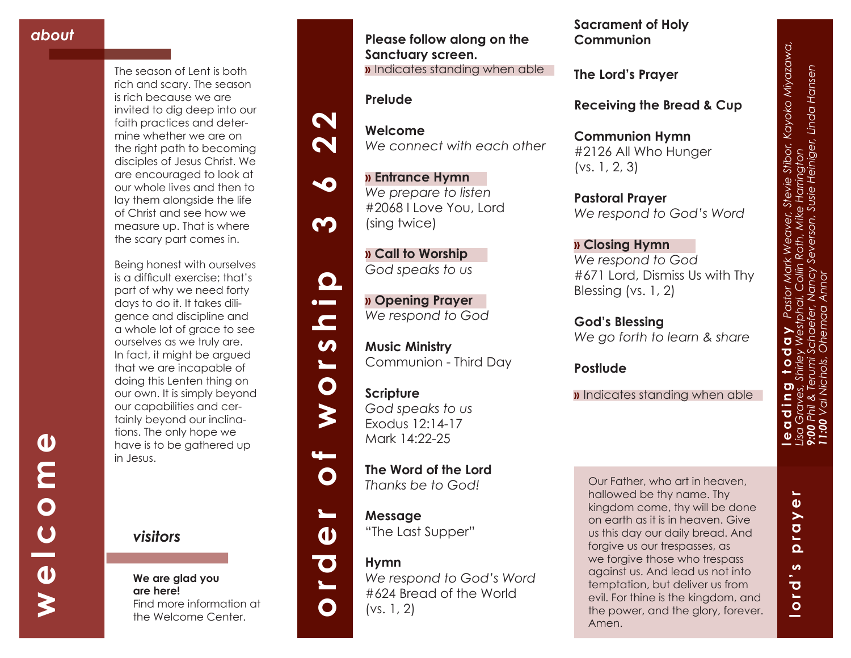**welcome**

 $\frac{c}{\theta}$ 

 $\boldsymbol{\gtrless}$ 

 $\bullet$ 

**MO** 

The season of Lent is both rich and scary. The season is rich because we are invited to dig deep into our faith practices and deter mine whether we are on the right path to becoming disciples of Jesus Christ. We are encouraged to look at our whole lives and then to lay them alongside the life of Christ and see how we measure up. That is where the scary part comes in.

Being honest with ourselves is a difficult exercise; that's part of why we need forty days to do it. It takes dili gence and discipline and a whole lot of grace to see ourselves as we truly are. In fact, it might be argued that we are incapable of doing this Lenten thing on our own. It is simply beyond our capabilities and cer tainly beyond our inclina tions. The only hope we have is to be gathered up in Jesus.

*visitors*

**We are glad you are here!** Find more information at the Welcome Center.

**Please follow along on the Sanctuary screen. »** Indicates standing when able

### **Prelude**

**Welcome** *We connect with each other*

**» Entrance Hymn**  *We prepare to listen* #2068 I Love You, Lord (sing twice)

**» Call to Worship**  *God speaks to us*

**» Opening Prayer**  *We respond to God*

**Music Ministry**  Communion - Third Day

**Scripture** *God speaks to us* Exodus 12:14-17 Mark 14:22-25

**The Word of the Lord**  *Thanks be to God!*

**Message** "The Last Supper"

### **Hymn**

*We respond to God's Word*  #624 Bread of the World (vs. 1, 2)

**Sacrament of Holy Communion**

**The Lord's Prayer**

**Receiving the Bread & Cup** 

**Communion Hymn** #2126 All Who Hunger (vs. 1, 2, 3)

**Pastoral Prayer** *We respond to God's Word*

**» Closing Hymn** *We respond to God* #671 Lord, Dismiss Us with Thy Blessing (vs. 1, 2)

**God's Blessing** *We go forth to learn & share*

**Postlude**

**»** Indicates standing when able

Our Father, who art in heaven, hallowed be thy name. Thy kingdom come, thy will be done on earth as it is in heaven. Give us this day our daily bread. And forgive us our trespasses, as we forgive those who trespass against us. And lead us not into temptation, but deliver us from evil. For thine is the kingdom, and the power, and the glory, forever. Amen.

**leading today** *Pastor Mark Weaver, Stevie Stibor, Kayoko Miyazawa, 9:00 Phil & Terumi Schaefer, Nancy Severson, Susie Heiniger, Linda Hansen Lisa Graves, Shirley Westphal, Collin Roth, Mike Harrington*  <u>ත</u> ١L  $\bullet$ 

evie Stibor, Kayoko Miyazawa,<br>Iarrington<br>sie Heiniger, Linda Hansen

*11:00 Val Nichols, Ohemaa Annor* 



 $\mathbf N$ 

 $\mathbf N$ 

50

<u>က</u>

 $\mathbf{\Omega}$  $\bullet$   $\blacksquare$